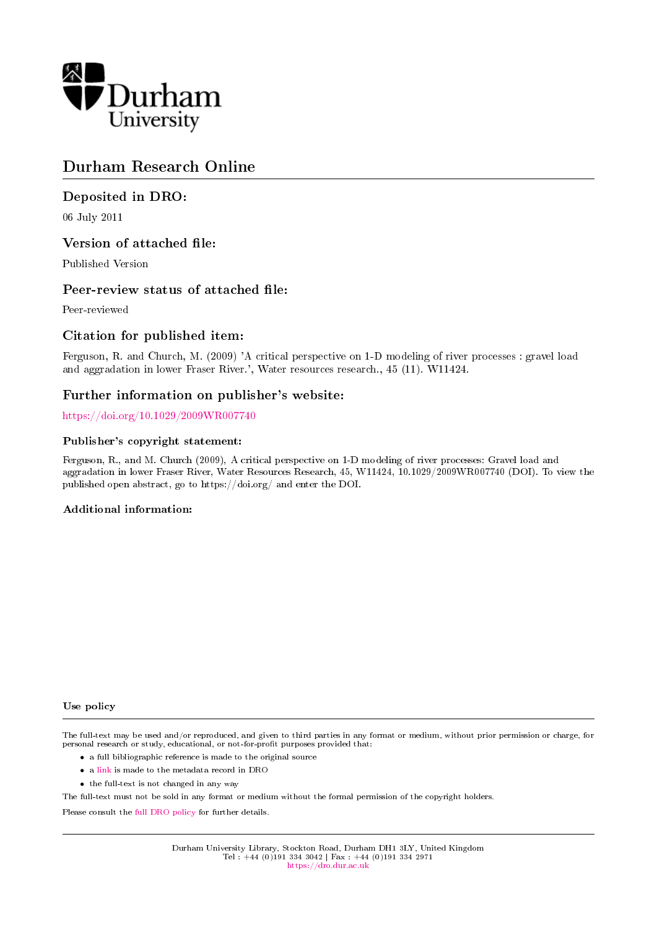

# Durham Research Online

# Deposited in DRO:

06 July 2011

## Version of attached file:

Published Version

## Peer-review status of attached file:

Peer-reviewed

# Citation for published item:

Ferguson, R. and Church, M. (2009) 'A critical perspective on 1-D modeling of river processes : gravel load and aggradation in lower Fraser River.', Water resources research., 45 (11). W11424.

## Further information on publisher's website:

<https://doi.org/10.1029/2009WR007740>

### Publisher's copyright statement:

Ferguson, R., and M. Church (2009), A critical perspective on 1-D modeling of river processes: Gravel load and aggradation in lower Fraser River, Water Resources Research, 45, W11424, 10.1029/2009WR007740 (DOI). To view the published open abstract, go to https://doi.org/ and enter the DOI.

### Additional information:

### Use policy

The full-text may be used and/or reproduced, and given to third parties in any format or medium, without prior permission or charge, for personal research or study, educational, or not-for-profit purposes provided that:

- a full bibliographic reference is made to the original source
- a [link](http://dro.dur.ac.uk/8371/) is made to the metadata record in DRO
- the full-text is not changed in any way

The full-text must not be sold in any format or medium without the formal permission of the copyright holders.

Please consult the [full DRO policy](https://dro.dur.ac.uk/policies/usepolicy.pdf) for further details.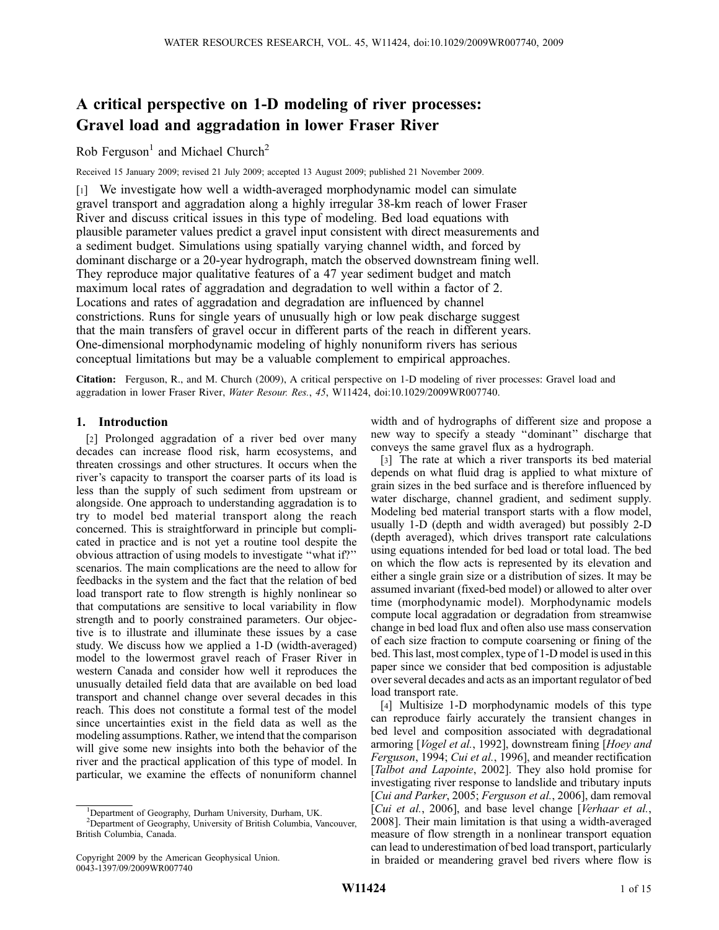# A critical perspective on 1-D modeling of river processes: Gravel load and aggradation in lower Fraser River

### Rob Ferguson<sup>1</sup> and Michael Church<sup>2</sup>

Received 15 January 2009; revised 21 July 2009; accepted 13 August 2009; published 21 November 2009.

[1] We investigate how well a width-averaged morphodynamic model can simulate gravel transport and aggradation along a highly irregular 38-km reach of lower Fraser River and discuss critical issues in this type of modeling. Bed load equations with plausible parameter values predict a gravel input consistent with direct measurements and a sediment budget. Simulations using spatially varying channel width, and forced by dominant discharge or a 20-year hydrograph, match the observed downstream fining well. They reproduce major qualitative features of a 47 year sediment budget and match maximum local rates of aggradation and degradation to well within a factor of 2. Locations and rates of aggradation and degradation are influenced by channel constrictions. Runs for single years of unusually high or low peak discharge suggest that the main transfers of gravel occur in different parts of the reach in different years. One-dimensional morphodynamic modeling of highly nonuniform rivers has serious conceptual limitations but may be a valuable complement to empirical approaches.

Citation: Ferguson, R., and M. Church (2009), A critical perspective on 1-D modeling of river processes: Gravel load and aggradation in lower Fraser River, Water Resour. Res., 45, W11424, doi:10.1029/2009WR007740.

### 1. Introduction

[2] Prolonged aggradation of a river bed over many decades can increase flood risk, harm ecosystems, and threaten crossings and other structures. It occurs when the river's capacity to transport the coarser parts of its load is less than the supply of such sediment from upstream or alongside. One approach to understanding aggradation is to try to model bed material transport along the reach concerned. This is straightforward in principle but complicated in practice and is not yet a routine tool despite the obvious attraction of using models to investigate ''what if?'' scenarios. The main complications are the need to allow for feedbacks in the system and the fact that the relation of bed load transport rate to flow strength is highly nonlinear so that computations are sensitive to local variability in flow strength and to poorly constrained parameters. Our objective is to illustrate and illuminate these issues by a case study. We discuss how we applied a 1-D (width-averaged) model to the lowermost gravel reach of Fraser River in western Canada and consider how well it reproduces the unusually detailed field data that are available on bed load transport and channel change over several decades in this reach. This does not constitute a formal test of the model since uncertainties exist in the field data as well as the modeling assumptions. Rather, we intend that the comparison will give some new insights into both the behavior of the river and the practical application of this type of model. In particular, we examine the effects of nonuniform channel

width and of hydrographs of different size and propose a new way to specify a steady ''dominant'' discharge that conveys the same gravel flux as a hydrograph.

[3] The rate at which a river transports its bed material depends on what fluid drag is applied to what mixture of grain sizes in the bed surface and is therefore influenced by water discharge, channel gradient, and sediment supply. Modeling bed material transport starts with a flow model, usually 1-D (depth and width averaged) but possibly 2-D (depth averaged), which drives transport rate calculations using equations intended for bed load or total load. The bed on which the flow acts is represented by its elevation and either a single grain size or a distribution of sizes. It may be assumed invariant (fixed-bed model) or allowed to alter over time (morphodynamic model). Morphodynamic models compute local aggradation or degradation from streamwise change in bed load flux and often also use mass conservation of each size fraction to compute coarsening or fining of the bed. This last, most complex, type of 1-D model is used in this paper since we consider that bed composition is adjustable over several decades and acts as an important regulator of bed load transport rate.

[4] Multisize 1-D morphodynamic models of this type can reproduce fairly accurately the transient changes in bed level and composition associated with degradational armoring [Vogel et al., 1992], downstream fining [Hoey and Ferguson, 1994; Cui et al., 1996], and meander rectification [Talbot and Lapointe, 2002]. They also hold promise for investigating river response to landslide and tributary inputs [Cui and Parker, 2005; Ferguson et al., 2006], dam removal [Cui et al., 2006], and base level change [Verhaar et al., 2008]. Their main limitation is that using a width-averaged measure of flow strength in a nonlinear transport equation can lead to underestimation of bed load transport, particularly in braided or meandering gravel bed rivers where flow is

<sup>&</sup>lt;sup>1</sup>Department of Geography, Durham University, Durham, UK.

<sup>&</sup>lt;sup>2</sup>Department of Geography, University of British Columbia, Vancouver, British Columbia, Canada.

Copyright 2009 by the American Geophysical Union. 0043-1397/09/2009WR007740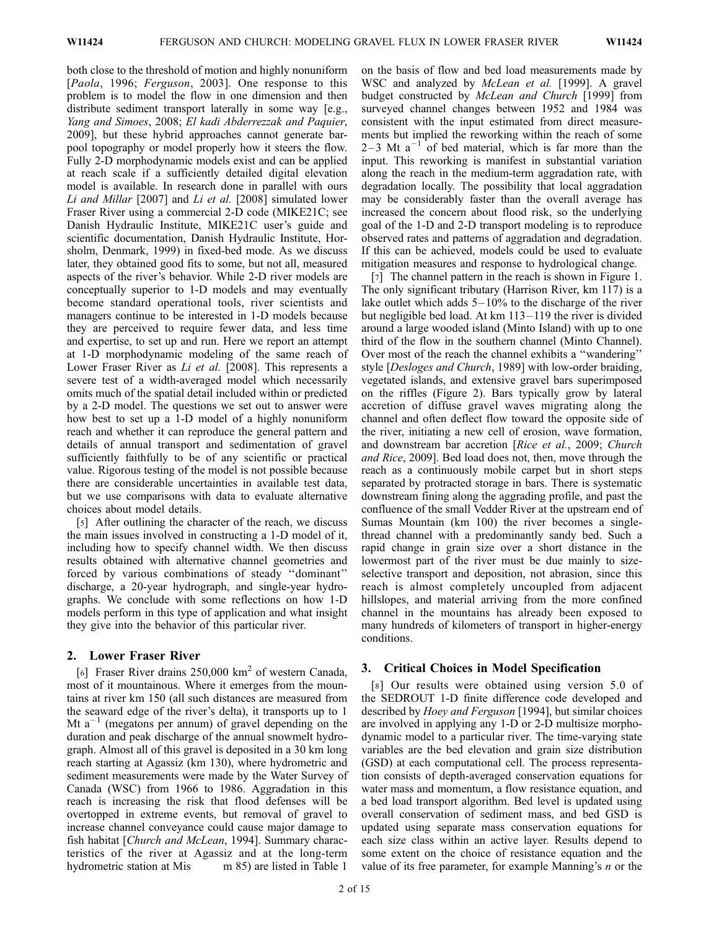both close to the threshold of motion and highly nonuniform [*Paola*, 1996; *Ferguson*, 2003]. One response to this problem is to model the flow in one dimension and then distribute sediment transport laterally in some way [e.g., Yang and Simoes, 2008; El kadi Abderrezzak and Paquier, 2009], but these hybrid approaches cannot generate barpool topography or model properly how it steers the flow. Fully 2-D morphodynamic models exist and can be applied at reach scale if a sufficiently detailed digital elevation model is available. In research done in parallel with ours Li and Millar [2007] and Li et al. [2008] simulated lower Fraser River using a commercial 2-D code (MIKE21C; see Danish Hydraulic Institute, MIKE21C user's guide and scientific documentation, Danish Hydraulic Institute, Horsholm, Denmark, 1999) in fixed-bed mode. As we discuss later, they obtained good fits to some, but not all, measured aspects of the river's behavior. While 2-D river models are conceptually superior to 1-D models and may eventually become standard operational tools, river scientists and managers continue to be interested in 1-D models because they are perceived to require fewer data, and less time and expertise, to set up and run. Here we report an attempt at 1-D morphodynamic modeling of the same reach of Lower Fraser River as Li et al. [2008]. This represents a severe test of a width-averaged model which necessarily omits much of the spatial detail included within or predicted by a 2-D model. The questions we set out to answer were how best to set up a 1-D model of a highly nonuniform reach and whether it can reproduce the general pattern and details of annual transport and sedimentation of gravel sufficiently faithfully to be of any scientific or practical value. Rigorous testing of the model is not possible because there are considerable uncertainties in available test data, but we use comparisons with data to evaluate alternative choices about model details.

[5] After outlining the character of the reach, we discuss the main issues involved in constructing a 1-D model of it, including how to specify channel width. We then discuss results obtained with alternative channel geometries and forced by various combinations of steady ''dominant'' discharge, a 20-year hydrograph, and single-year hydrographs. We conclude with some reflections on how 1-D models perform in this type of application and what insight they give into the behavior of this particular river.

#### 2. Lower Fraser River

[6] Fraser River drains  $250,000 \text{ km}^2$  of western Canada, most of it mountainous. Where it emerges from the mountains at river km 150 (all such distances are measured from the seaward edge of the river's delta), it transports up to 1 Mt  $a^{-1}$  (megatons per annum) of gravel depending on the duration and peak discharge of the annual snowmelt hydrograph. Almost all of this gravel is deposited in a 30 km long reach starting at Agassiz (km 130), where hydrometric and sediment measurements were made by the Water Survey of Canada (WSC) from 1966 to 1986. Aggradation in this reach is increasing the risk that flood defenses will be overtopped in extreme events, but removal of gravel to increase channel conveyance could cause major damage to fish habitat [Church and McLean, 1994]. Summary characteristics of the river at Agassiz and at the long-term hydrometric station at Mis m 85) are listed in Table 1

on the basis of flow and bed load measurements made by WSC and analyzed by *McLean et al.* [1999]. A gravel budget constructed by McLean and Church [1999] from surveyed channel changes between 1952 and 1984 was consistent with the input estimated from direct measurements but implied the reworking within the reach of some 2–3 Mt  $a^{-1}$  of bed material, which is far more than the input. This reworking is manifest in substantial variation along the reach in the medium-term aggradation rate, with degradation locally. The possibility that local aggradation may be considerably faster than the overall average has increased the concern about flood risk, so the underlying goal of the 1-D and 2-D transport modeling is to reproduce observed rates and patterns of aggradation and degradation. If this can be achieved, models could be used to evaluate mitigation measures and response to hydrological change.

[7] The channel pattern in the reach is shown in Figure 1. The only significant tributary (Harrison River, km 117) is a lake outlet which adds  $5 - 10\%$  to the discharge of the river but negligible bed load. At km 113– 119 the river is divided around a large wooded island (Minto Island) with up to one third of the flow in the southern channel (Minto Channel). Over most of the reach the channel exhibits a ''wandering'' style [*Desloges and Church*, 1989] with low-order braiding, vegetated islands, and extensive gravel bars superimposed on the riffles (Figure 2). Bars typically grow by lateral accretion of diffuse gravel waves migrating along the channel and often deflect flow toward the opposite side of the river, initiating a new cell of erosion, wave formation, and downstream bar accretion [Rice et al., 2009; Church and Rice, 2009]. Bed load does not, then, move through the reach as a continuously mobile carpet but in short steps separated by protracted storage in bars. There is systematic downstream fining along the aggrading profile, and past the confluence of the small Vedder River at the upstream end of Sumas Mountain (km 100) the river becomes a singlethread channel with a predominantly sandy bed. Such a rapid change in grain size over a short distance in the lowermost part of the river must be due mainly to sizeselective transport and deposition, not abrasion, since this reach is almost completely uncoupled from adjacent hillslopes, and material arriving from the more confined channel in the mountains has already been exposed to many hundreds of kilometers of transport in higher-energy conditions.

#### 3. Critical Choices in Model Specification

[8] Our results were obtained using version 5.0 of the SEDROUT 1-D finite difference code developed and described by Hoey and Ferguson [1994], but similar choices are involved in applying any 1-D or 2-D multisize morphodynamic model to a particular river. The time-varying state variables are the bed elevation and grain size distribution (GSD) at each computational cell. The process representation consists of depth-averaged conservation equations for water mass and momentum, a flow resistance equation, and a bed load transport algorithm. Bed level is updated using overall conservation of sediment mass, and bed GSD is updated using separate mass conservation equations for each size class within an active layer. Results depend to some extent on the choice of resistance equation and the value of its free parameter, for example Manning's  $n$  or the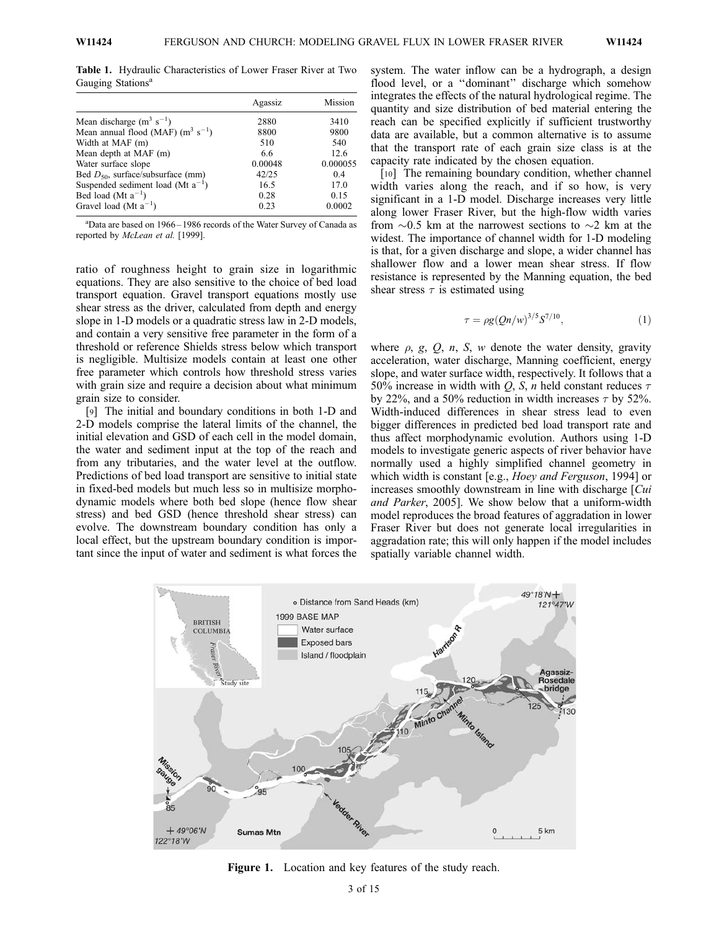Table 1. Hydraulic Characteristics of Lower Fraser River at Two Gauging Stations<sup>a</sup>

|                                        | Agassiz | Mission  |
|----------------------------------------|---------|----------|
| Mean discharge $(m^3 s^{-1})$          | 2880    | 3410     |
| Mean annual flood (MAF) $(m^3 s^{-1})$ | 8800    | 9800     |
| Width at MAF (m)                       | 510     | 540      |
| Mean depth at MAF (m)                  | 6.6     | 12.6     |
| Water surface slope                    | 0.00048 | 0.000055 |
| Bed $D_{50}$ , surface/subsurface (mm) | 42/25   | 0.4      |
| Suspended sediment load (Mt $a^{-1}$ ) | 16.5    | 17.0     |
| Bed load (Mt $a^{-1}$ )                | 0.28    | 0.15     |
| Gravel load (Mt $a^{-1}$ )             | 0.23    | 0.0002   |

a Data are based on 1966 – 1986 records of the Water Survey of Canada as reported by McLean et al. [1999].

ratio of roughness height to grain size in logarithmic equations. They are also sensitive to the choice of bed load transport equation. Gravel transport equations mostly use shear stress as the driver, calculated from depth and energy slope in 1-D models or a quadratic stress law in 2-D models, and contain a very sensitive free parameter in the form of a threshold or reference Shields stress below which transport is negligible. Multisize models contain at least one other free parameter which controls how threshold stress varies with grain size and require a decision about what minimum grain size to consider.

[9] The initial and boundary conditions in both 1-D and 2-D models comprise the lateral limits of the channel, the initial elevation and GSD of each cell in the model domain, the water and sediment input at the top of the reach and from any tributaries, and the water level at the outflow. Predictions of bed load transport are sensitive to initial state in fixed-bed models but much less so in multisize morphodynamic models where both bed slope (hence flow shear stress) and bed GSD (hence threshold shear stress) can evolve. The downstream boundary condition has only a local effect, but the upstream boundary condition is important since the input of water and sediment is what forces the

system. The water inflow can be a hydrograph, a design flood level, or a "dominant" discharge which somehow integrates the effects of the natural hydrological regime. The quantity and size distribution of bed material entering the reach can be specified explicitly if sufficient trustworthy data are available, but a common alternative is to assume that the transport rate of each grain size class is at the capacity rate indicated by the chosen equation.

[10] The remaining boundary condition, whether channel width varies along the reach, and if so how, is very significant in a 1-D model. Discharge increases very little along lower Fraser River, but the high-flow width varies from  $\sim 0.5$  km at the narrowest sections to  $\sim 2$  km at the widest. The importance of channel width for 1-D modeling is that, for a given discharge and slope, a wider channel has shallower flow and a lower mean shear stress. If flow resistance is represented by the Manning equation, the bed shear stress  $\tau$  is estimated using

$$
\tau = \rho g (Qn/w)^{3/5} S^{7/10},\tag{1}
$$

where  $\rho$ ,  $g$ ,  $Q$ ,  $n$ ,  $S$ ,  $w$  denote the water density, gravity acceleration, water discharge, Manning coefficient, energy slope, and water surface width, respectively. It follows that a 50% increase in width with Q, S, n held constant reduces  $\tau$ by 22%, and a 50% reduction in width increases  $\tau$  by 52%. Width-induced differences in shear stress lead to even bigger differences in predicted bed load transport rate and thus affect morphodynamic evolution. Authors using 1-D models to investigate generic aspects of river behavior have normally used a highly simplified channel geometry in which width is constant [e.g., *Hoey and Ferguson*, 1994] or increases smoothly downstream in line with discharge [Cui and Parker, 2005]. We show below that a uniform-width model reproduces the broad features of aggradation in lower Fraser River but does not generate local irregularities in aggradation rate; this will only happen if the model includes spatially variable channel width.



Figure 1. Location and key features of the study reach.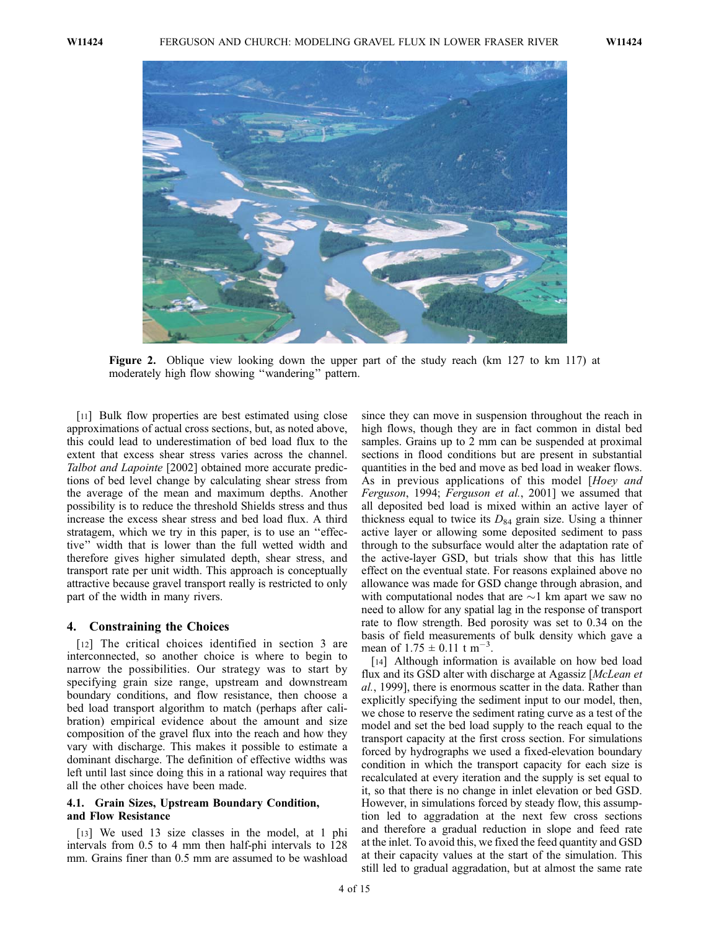

Figure 2. Oblique view looking down the upper part of the study reach (km 127 to km 117) at moderately high flow showing ''wandering'' pattern.

[11] Bulk flow properties are best estimated using close approximations of actual cross sections, but, as noted above, this could lead to underestimation of bed load flux to the extent that excess shear stress varies across the channel. Talbot and Lapointe [2002] obtained more accurate predictions of bed level change by calculating shear stress from the average of the mean and maximum depths. Another possibility is to reduce the threshold Shields stress and thus increase the excess shear stress and bed load flux. A third stratagem, which we try in this paper, is to use an ''effective'' width that is lower than the full wetted width and therefore gives higher simulated depth, shear stress, and transport rate per unit width. This approach is conceptually attractive because gravel transport really is restricted to only part of the width in many rivers.

#### 4. Constraining the Choices

[12] The critical choices identified in section 3 are interconnected, so another choice is where to begin to narrow the possibilities. Our strategy was to start by specifying grain size range, upstream and downstream boundary conditions, and flow resistance, then choose a bed load transport algorithm to match (perhaps after calibration) empirical evidence about the amount and size composition of the gravel flux into the reach and how they vary with discharge. This makes it possible to estimate a dominant discharge. The definition of effective widths was left until last since doing this in a rational way requires that all the other choices have been made.

#### 4.1. Grain Sizes, Upstream Boundary Condition, and Flow Resistance

[13] We used 13 size classes in the model, at 1 phi intervals from 0.5 to 4 mm then half-phi intervals to 128 mm. Grains finer than 0.5 mm are assumed to be washload

since they can move in suspension throughout the reach in high flows, though they are in fact common in distal bed samples. Grains up to 2 mm can be suspended at proximal sections in flood conditions but are present in substantial quantities in the bed and move as bed load in weaker flows. As in previous applications of this model [Hoey and Ferguson, 1994; Ferguson et al., 2001] we assumed that all deposited bed load is mixed within an active layer of thickness equal to twice its  $D_{84}$  grain size. Using a thinner active layer or allowing some deposited sediment to pass through to the subsurface would alter the adaptation rate of the active-layer GSD, but trials show that this has little effect on the eventual state. For reasons explained above no allowance was made for GSD change through abrasion, and with computational nodes that are  $\sim$ 1 km apart we saw no need to allow for any spatial lag in the response of transport rate to flow strength. Bed porosity was set to 0.34 on the basis of field measurements of bulk density which gave a mean of  $1.75 \pm 0.11$  t m<sup>-3</sup>.

[14] Although information is available on how bed load flux and its GSD alter with discharge at Agassiz [McLean et al., 1999], there is enormous scatter in the data. Rather than explicitly specifying the sediment input to our model, then, we chose to reserve the sediment rating curve as a test of the model and set the bed load supply to the reach equal to the transport capacity at the first cross section. For simulations forced by hydrographs we used a fixed-elevation boundary condition in which the transport capacity for each size is recalculated at every iteration and the supply is set equal to it, so that there is no change in inlet elevation or bed GSD. However, in simulations forced by steady flow, this assumption led to aggradation at the next few cross sections and therefore a gradual reduction in slope and feed rate at the inlet. To avoid this, we fixed the feed quantity and GSD at their capacity values at the start of the simulation. This still led to gradual aggradation, but at almost the same rate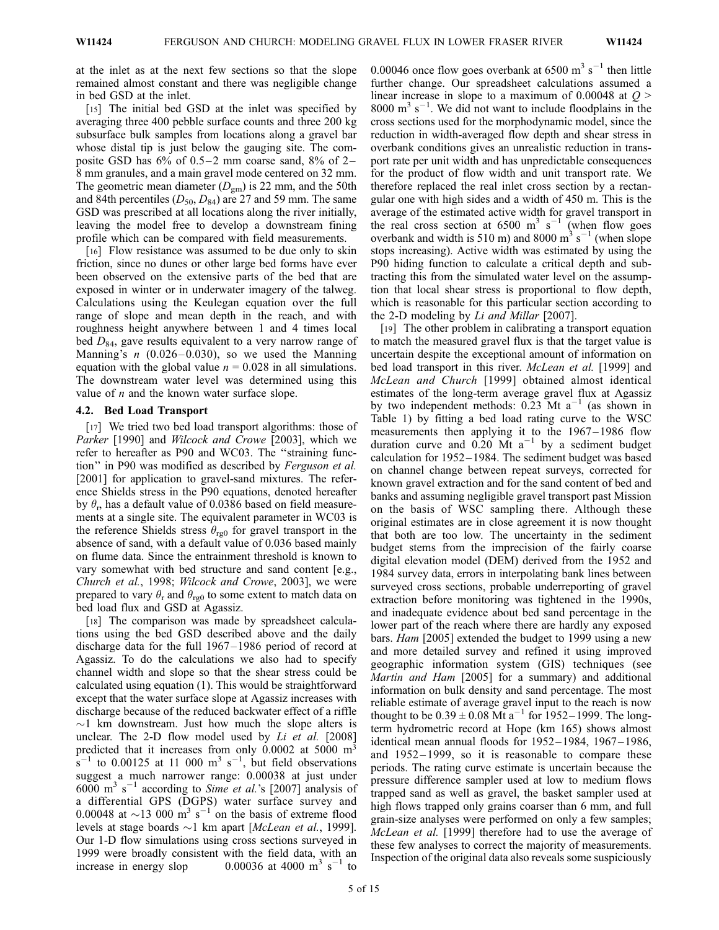at the inlet as at the next few sections so that the slope remained almost constant and there was negligible change in bed GSD at the inlet.

[15] The initial bed GSD at the inlet was specified by averaging three 400 pebble surface counts and three 200 kg subsurface bulk samples from locations along a gravel bar whose distal tip is just below the gauging site. The composite GSD has  $6\%$  of  $0.5-2$  mm coarse sand,  $8\%$  of  $2-$ 8 mm granules, and a main gravel mode centered on 32 mm. The geometric mean diameter  $(D_{gm})$  is 22 mm, and the 50th and 84th percentiles  $(D_{50}, D_{84})$  are 27 and 59 mm. The same GSD was prescribed at all locations along the river initially, leaving the model free to develop a downstream fining profile which can be compared with field measurements.

[16] Flow resistance was assumed to be due only to skin friction, since no dunes or other large bed forms have ever been observed on the extensive parts of the bed that are exposed in winter or in underwater imagery of the talweg. Calculations using the Keulegan equation over the full range of slope and mean depth in the reach, and with roughness height anywhere between 1 and 4 times local bed  $D_{84}$ , gave results equivalent to a very narrow range of Manning's  $n$  (0.026-0.030), so we used the Manning equation with the global value  $n = 0.028$  in all simulations. The downstream water level was determined using this value of  $n$  and the known water surface slope.

#### 4.2. Bed Load Transport

[17] We tried two bed load transport algorithms: those of Parker [1990] and Wilcock and Crowe [2003], which we refer to hereafter as P90 and WC03. The ''straining function'' in P90 was modified as described by Ferguson et al. [2001] for application to gravel-sand mixtures. The reference Shields stress in the P90 equations, denoted hereafter by  $\theta_r$ , has a default value of 0.0386 based on field measurements at a single site. The equivalent parameter in WC03 is the reference Shields stress  $\theta_{\text{re0}}$  for gravel transport in the absence of sand, with a default value of 0.036 based mainly on flume data. Since the entrainment threshold is known to vary somewhat with bed structure and sand content [e.g., Church et al., 1998; Wilcock and Crowe, 2003], we were prepared to vary  $\theta_r$  and  $\theta_{\text{re0}}$  to some extent to match data on bed load flux and GSD at Agassiz.

[18] The comparison was made by spreadsheet calculations using the bed GSD described above and the daily discharge data for the full 1967 – 1986 period of record at Agassiz. To do the calculations we also had to specify channel width and slope so that the shear stress could be calculated using equation (1). This would be straightforward except that the water surface slope at Agassiz increases with discharge because of the reduced backwater effect of a riffle  $\sim$ 1 km downstream. Just how much the slope alters is unclear. The 2-D flow model used by  $Li$  et al. [2008] predicted that it increases from only 0.0002 at 5000 m<sup>3</sup>  $s^{-1}$  to 0.00125 at 11 000 m<sup>3</sup> s<sup>-1</sup>, but field observations suggest a much narrower range: 0.00038 at just under  $6000 \text{ m}^3 \text{ s}^{-1}$  according to *Sime et al.*'s [2007] analysis of a differential GPS (DGPS) water surface survey and 0.00048 at  $\sim$ 13 000 m<sup>3</sup> s<sup>-1</sup> on the basis of extreme flood levels at stage boards  $\sim$ 1 km apart [*McLean et al.*, 1999]. Our 1-D flow simulations using cross sections surveyed in 1999 were broadly consistent with the field data, with an increase in energy slop  $0.00036$  at 4000 m<sup>3</sup> s<sup>-1</sup> to

0.00046 once flow goes overbank at  $6500 \text{ m}^3 \text{ s}^{-1}$  then little further change. Our spreadsheet calculations assumed a linear increase in slope to a maximum of 0.00048 at  $Q$  > 8000 m<sup>3</sup> s<sup>-1</sup>. We did not want to include floodplains in the cross sections used for the morphodynamic model, since the reduction in width-averaged flow depth and shear stress in overbank conditions gives an unrealistic reduction in transport rate per unit width and has unpredictable consequences for the product of flow width and unit transport rate. We therefore replaced the real inlet cross section by a rectangular one with high sides and a width of 450 m. This is the average of the estimated active width for gravel transport in the real cross section at 6500 m<sup>3</sup> s<sup>-1</sup> (when flow goes overbank and width is 510 m) and 8000  $\text{m}^3$  s<sup>-1</sup> (when slope stops increasing). Active width was estimated by using the P90 hiding function to calculate a critical depth and subtracting this from the simulated water level on the assumption that local shear stress is proportional to flow depth, which is reasonable for this particular section according to the 2-D modeling by Li and Millar [2007].

[19] The other problem in calibrating a transport equation to match the measured gravel flux is that the target value is uncertain despite the exceptional amount of information on bed load transport in this river. *McLean et al.* [1999] and McLean and Church [1999] obtained almost identical estimates of the long-term average gravel flux at Agassiz by two independent methods:  $0.23$  Mt a<sup>-1</sup> (as shown in Table 1) by fitting a bed load rating curve to the WSC measurements then applying it to the 1967-1986 flow duration curve and  $0.20 \text{ Mt}$  a<sup>-1</sup> by a sediment budget calculation for 1952 – 1984. The sediment budget was based on channel change between repeat surveys, corrected for known gravel extraction and for the sand content of bed and banks and assuming negligible gravel transport past Mission on the basis of WSC sampling there. Although these original estimates are in close agreement it is now thought that both are too low. The uncertainty in the sediment budget stems from the imprecision of the fairly coarse digital elevation model (DEM) derived from the 1952 and 1984 survey data, errors in interpolating bank lines between surveyed cross sections, probable underreporting of gravel extraction before monitoring was tightened in the 1990s, and inadequate evidence about bed sand percentage in the lower part of the reach where there are hardly any exposed bars. Ham [2005] extended the budget to 1999 using a new and more detailed survey and refined it using improved geographic information system (GIS) techniques (see Martin and Ham [2005] for a summary) and additional information on bulk density and sand percentage. The most reliable estimate of average gravel input to the reach is now thought to be  $0.39 \pm 0.08 \text{ M} \text{t a}^{-1}$  for 1952–1999. The longterm hydrometric record at Hope (km 165) shows almost identical mean annual floods for 1952-1984, 1967-1986, and 1952– 1999, so it is reasonable to compare these periods. The rating curve estimate is uncertain because the pressure difference sampler used at low to medium flows trapped sand as well as gravel, the basket sampler used at high flows trapped only grains coarser than 6 mm, and full grain-size analyses were performed on only a few samples; McLean et al. [1999] therefore had to use the average of these few analyses to correct the majority of measurements. Inspection of the original data also reveals some suspiciously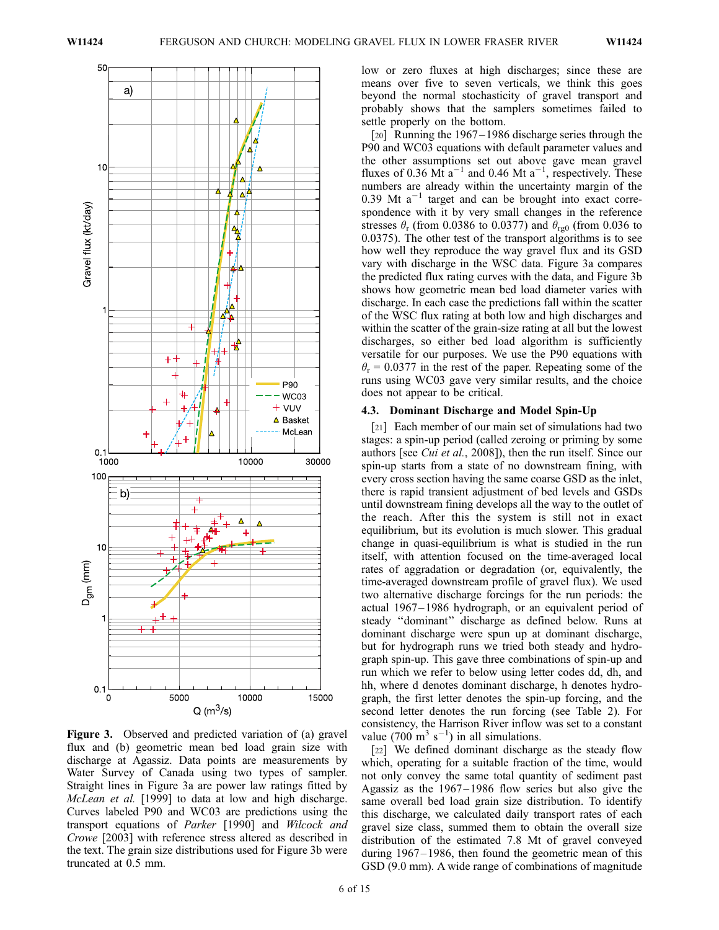

Figure 3. Observed and predicted variation of (a) gravel flux and (b) geometric mean bed load grain size with discharge at Agassiz. Data points are measurements by Water Survey of Canada using two types of sampler. Straight lines in Figure 3a are power law ratings fitted by McLean et al. [1999] to data at low and high discharge. Curves labeled P90 and WC03 are predictions using the transport equations of Parker [1990] and Wilcock and Crowe [2003] with reference stress altered as described in the text. The grain size distributions used for Figure 3b were truncated at 0.5 mm.

low or zero fluxes at high discharges; since these are means over five to seven verticals, we think this goes beyond the normal stochasticity of gravel transport and probably shows that the samplers sometimes failed to settle properly on the bottom.

[20] Running the 1967–1986 discharge series through the P90 and WC03 equations with default parameter values and the other assumptions set out above gave mean gravel fluxes of 0.36 Mt  $a^{-1}$  and 0.46 Mt  $a^{-1}$ , respectively. These numbers are already within the uncertainty margin of the  $0.39$  Mt a<sup>-1</sup> target and can be brought into exact correspondence with it by very small changes in the reference stresses  $\theta_r$  (from 0.0386 to 0.0377) and  $\theta_{rg0}$  (from 0.036 to 0.0375). The other test of the transport algorithms is to see how well they reproduce the way gravel flux and its GSD vary with discharge in the WSC data. Figure 3a compares the predicted flux rating curves with the data, and Figure 3b shows how geometric mean bed load diameter varies with discharge. In each case the predictions fall within the scatter of the WSC flux rating at both low and high discharges and within the scatter of the grain-size rating at all but the lowest discharges, so either bed load algorithm is sufficiently versatile for our purposes. We use the P90 equations with  $\theta_r = 0.0377$  in the rest of the paper. Repeating some of the runs using WC03 gave very similar results, and the choice does not appear to be critical.

### 4.3. Dominant Discharge and Model Spin-Up

[21] Each member of our main set of simulations had two stages: a spin-up period (called zeroing or priming by some authors [see *Cui et al.*, 2008]), then the run itself. Since our spin-up starts from a state of no downstream fining, with every cross section having the same coarse GSD as the inlet, there is rapid transient adjustment of bed levels and GSDs until downstream fining develops all the way to the outlet of the reach. After this the system is still not in exact equilibrium, but its evolution is much slower. This gradual change in quasi-equilibrium is what is studied in the run itself, with attention focused on the time-averaged local rates of aggradation or degradation (or, equivalently, the time-averaged downstream profile of gravel flux). We used two alternative discharge forcings for the run periods: the actual 1967– 1986 hydrograph, or an equivalent period of steady ''dominant'' discharge as defined below. Runs at dominant discharge were spun up at dominant discharge, but for hydrograph runs we tried both steady and hydrograph spin-up. This gave three combinations of spin-up and run which we refer to below using letter codes dd, dh, and hh, where d denotes dominant discharge, h denotes hydrograph, the first letter denotes the spin-up forcing, and the second letter denotes the run forcing (see Table 2). For consistency, the Harrison River inflow was set to a constant value (700 m<sup>3</sup> s<sup>-1</sup>) in all simulations.

[22] We defined dominant discharge as the steady flow which, operating for a suitable fraction of the time, would not only convey the same total quantity of sediment past Agassiz as the 1967–1986 flow series but also give the same overall bed load grain size distribution. To identify this discharge, we calculated daily transport rates of each gravel size class, summed them to obtain the overall size distribution of the estimated 7.8 Mt of gravel conveyed during 1967–1986, then found the geometric mean of this GSD (9.0 mm). A wide range of combinations of magnitude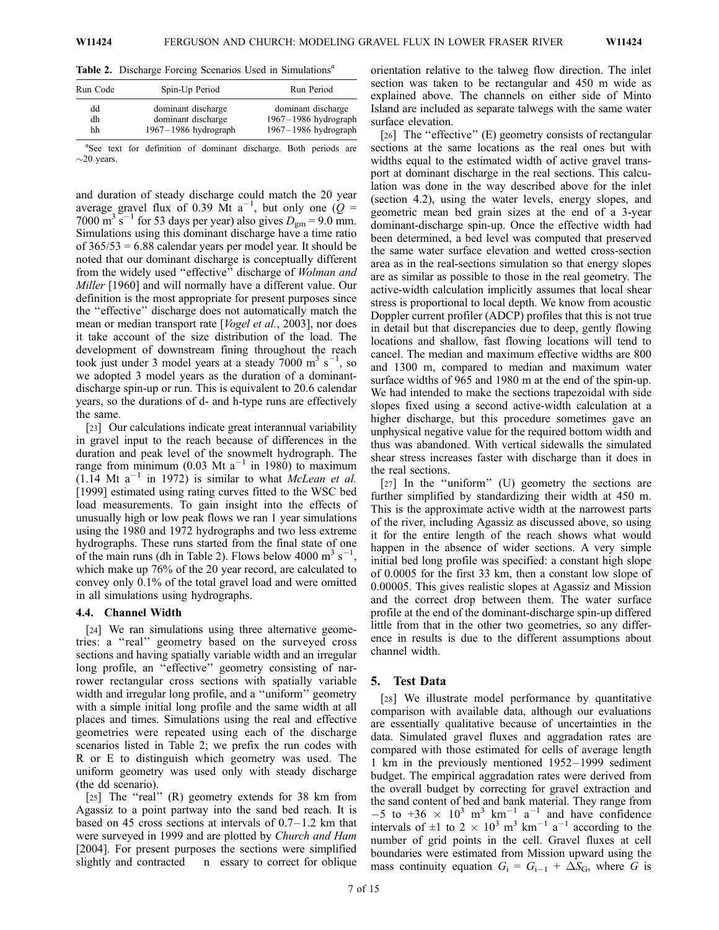Table 2. Discharge Forcing Scenarios Used in Simulations<sup>a</sup>

| Run Code | Spin-Up Period           | Run Period               |
|----------|--------------------------|--------------------------|
| dd       | dominant discharge       | dominant discharge       |
| dh       | dominant discharge       | $1967 - 1986$ hydrograph |
| hh       | $1967 - 1986$ hydrograph | 1967-1986 hydrograph     |

<sup>a</sup>See text for definition of dominant discharge. Both periods are  $\sim$ 20 years.

and duration of steady discharge could match the 20 year average gravel flux of 0.39 Mt a<sup>-1</sup>, but only one  $(Q =$ 7000 m<sup>3</sup> s<sup>-1</sup> for 53 days per year) also gives  $D_{\text{gm}} = 9.0$  mm. Simulations using this dominant discharge have a time ratio of  $365/53 = 6.88$  calendar years per model year. It should be noted that our dominant discharge is conceptually different from the widely used "effective" discharge of Wolman and Miller [1960] and will normally have a different value. Our definition is the most appropriate for present purposes since the ''effective'' discharge does not automatically match the mean or median transport rate [*Vogel et al.*, 2003], nor does it take account of the size distribution of the load. The development of downstream fining throughout the reach took just under 3 model years at a steady  $7000 \text{ m}^3 \text{ s}^{-1}$ , so we adopted 3 model years as the duration of a dominantdischarge spin-up or run. This is equivalent to 20.6 calendar years, so the durations of d- and h-type runs are effectively the same.

[23] Our calculations indicate great interannual variability in gravel input to the reach because of differences in the duration and peak level of the snowmelt hydrograph. The range from minimum (0.03 Mt  $a^{-1}$  in 1980) to maximum  $(1.14 \text{ Mt a}^{-1} \text{ in } 1972)$  is similar to what McLean et al. [1999] estimated using rating curves fitted to the WSC bed load measurements. To gain insight into the effects of unusually high or low peak flows we ran 1 year simulations using the 1980 and 1972 hydrographs and two less extreme hydrographs. These runs started from the final state of one of the main runs (dh in Table 2). Flows below 4000 m<sup>3</sup> s<sup>-1</sup> , which make up 76% of the 20 year record, are calculated to convey only 0.1% of the total gravel load and were omitted in all simulations using hydrographs.

#### 4.4. Channel Width

[24] We ran simulations using three alternative geometries: a ''real'' geometry based on the surveyed cross sections and having spatially variable width and an irregular long profile, an ''effective'' geometry consisting of narrower rectangular cross sections with spatially variable width and irregular long profile, and a ''uniform'' geometry with a simple initial long profile and the same width at all places and times. Simulations using the real and effective geometries were repeated using each of the discharge scenarios listed in Table 2; we prefix the run codes with R or E to distinguish which geometry was used. The uniform geometry was used only with steady discharge (the dd scenario).

[25] The "real" (R) geometry extends for 38 km from Agassiz to a point partway into the sand bed reach. It is based on 45 cross sections at intervals of  $0.7-1.2$  km that were surveyed in 1999 and are plotted by Church and Ham [2004]. For present purposes the sections were simplified slightly and contracted n essary to correct for oblique

orientation relative to the talweg flow direction. The inlet section was taken to be rectangular and 450 m wide as explained above. The channels on either side of Minto Island are included as separate talwegs with the same water surface elevation.

[26] The "effective" (E) geometry consists of rectangular sections at the same locations as the real ones but with widths equal to the estimated width of active gravel transport at dominant discharge in the real sections. This calculation was done in the way described above for the inlet (section 4.2), using the water levels, energy slopes, and geometric mean bed grain sizes at the end of a 3-year dominant-discharge spin-up. Once the effective width had been determined, a bed level was computed that preserved the same water surface elevation and wetted cross-section area as in the real-sections simulation so that energy slopes are as similar as possible to those in the real geometry. The active-width calculation implicitly assumes that local shear stress is proportional to local depth. We know from acoustic Doppler current profiler (ADCP) profiles that this is not true in detail but that discrepancies due to deep, gently flowing locations and shallow, fast flowing locations will tend to cancel. The median and maximum effective widths are 800 and 1300 m, compared to median and maximum water surface widths of 965 and 1980 m at the end of the spin-up. We had intended to make the sections trapezoidal with side slopes fixed using a second active-width calculation at a higher discharge, but this procedure sometimes gave an unphysical negative value for the required bottom width and thus was abandoned. With vertical sidewalls the simulated shear stress increases faster with discharge than it does in the real sections.

[27] In the "uniform" (U) geometry the sections are further simplified by standardizing their width at 450 m. This is the approximate active width at the narrowest parts of the river, including Agassiz as discussed above, so using it for the entire length of the reach shows what would happen in the absence of wider sections. A very simple initial bed long profile was specified: a constant high slope of 0.0005 for the first 33 km, then a constant low slope of 0.00005. This gives realistic slopes at Agassiz and Mission and the correct drop between them. The water surface profile at the end of the dominant-discharge spin-up differed little from that in the other two geometries, so any difference in results is due to the different assumptions about channel width.

#### 5. Test Data

[28] We illustrate model performance by quantitative comparison with available data, although our evaluations are essentially qualitative because of uncertainties in the data. Simulated gravel fluxes and aggradation rates are compared with those estimated for cells of average length 1 km in the previously mentioned 1952 – 1999 sediment budget. The empirical aggradation rates were derived from the overall budget by correcting for gravel extraction and the sand content of bed and bank material. They range from  $-5$  to  $+36 \times 10^3$  m<sup>3</sup> km<sup>-1</sup> a<sup>-1</sup> and have confidence intervals of  $\pm 1$  to 2  $\times$  10<sup>3</sup> m<sup>3</sup> km<sup>-1</sup> a<sup>-1</sup> according to the number of grid points in the cell. Gravel fluxes at cell boundaries were estimated from Mission upward using the mass continuity equation  $G_i = G_{i-1} + \Delta S_G$ , where G is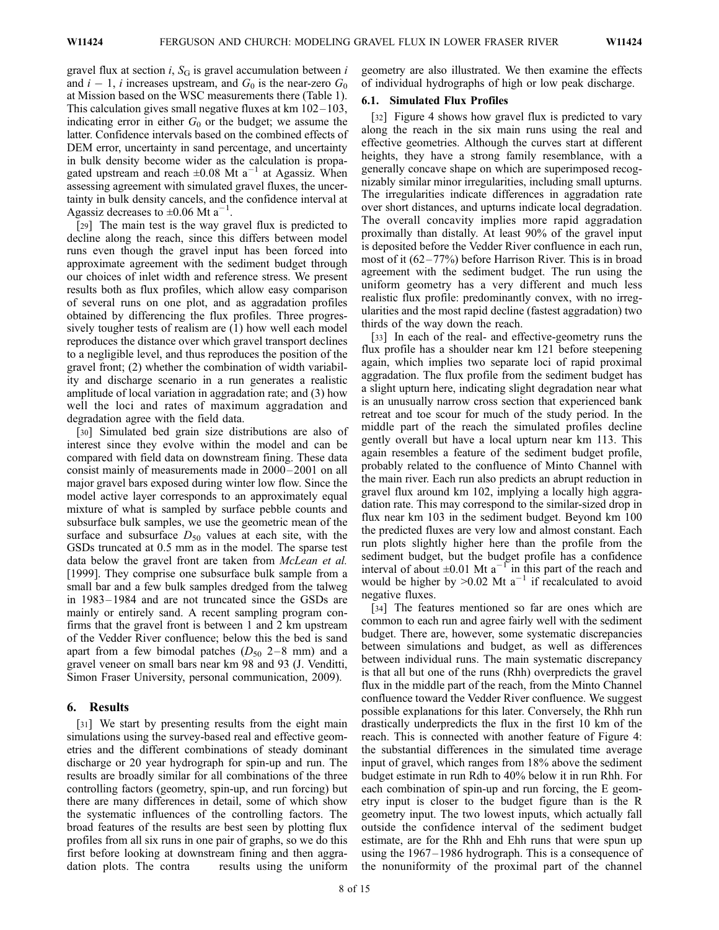gravel flux at section *i*,  $S_G$  is gravel accumulation between *i* and  $i-1$ , i increases upstream, and  $G_0$  is the near-zero  $G_0$ at Mission based on the WSC measurements there (Table 1). This calculation gives small negative fluxes at  $km 102 - 103$ , indicating error in either  $G_0$  or the budget; we assume the latter. Confidence intervals based on the combined effects of DEM error, uncertainty in sand percentage, and uncertainty in bulk density become wider as the calculation is propagated upstream and reach  $\pm 0.08$  Mt a<sup>-1</sup> at Agassiz. When assessing agreement with simulated gravel fluxes, the uncertainty in bulk density cancels, and the confidence interval at Agassiz decreases to  $\pm 0.06$  Mt a<sup>-1</sup>.

[29] The main test is the way gravel flux is predicted to decline along the reach, since this differs between model runs even though the gravel input has been forced into approximate agreement with the sediment budget through our choices of inlet width and reference stress. We present results both as flux profiles, which allow easy comparison of several runs on one plot, and as aggradation profiles obtained by differencing the flux profiles. Three progressively tougher tests of realism are (1) how well each model reproduces the distance over which gravel transport declines to a negligible level, and thus reproduces the position of the gravel front; (2) whether the combination of width variability and discharge scenario in a run generates a realistic amplitude of local variation in aggradation rate; and (3) how well the loci and rates of maximum aggradation and degradation agree with the field data.

[30] Simulated bed grain size distributions are also of interest since they evolve within the model and can be compared with field data on downstream fining. These data consist mainly of measurements made in 2000 – 2001 on all major gravel bars exposed during winter low flow. Since the model active layer corresponds to an approximately equal mixture of what is sampled by surface pebble counts and subsurface bulk samples, we use the geometric mean of the surface and subsurface  $D_{50}$  values at each site, with the GSDs truncated at 0.5 mm as in the model. The sparse test data below the gravel front are taken from McLean et al. [1999]. They comprise one subsurface bulk sample from a small bar and a few bulk samples dredged from the talweg in 1983 – 1984 and are not truncated since the GSDs are mainly or entirely sand. A recent sampling program confirms that the gravel front is between 1 and 2 km upstream of the Vedder River confluence; below this the bed is sand apart from a few bimodal patches  $(D_{50} 2-8$  mm) and a gravel veneer on small bars near km 98 and 93 (J. Venditti, Simon Fraser University, personal communication, 2009).

### 6. Results

[31] We start by presenting results from the eight main simulations using the survey-based real and effective geometries and the different combinations of steady dominant discharge or 20 year hydrograph for spin-up and run. The results are broadly similar for all combinations of the three controlling factors (geometry, spin-up, and run forcing) but there are many differences in detail, some of which show the systematic influences of the controlling factors. The broad features of the results are best seen by plotting flux profiles from all six runs in one pair of graphs, so we do this first before looking at downstream fining and then aggradation plots. The contra results using the uniform

geometry are also illustrated. We then examine the effects of individual hydrographs of high or low peak discharge.

#### 6.1. Simulated Flux Profiles

[32] Figure 4 shows how gravel flux is predicted to vary along the reach in the six main runs using the real and effective geometries. Although the curves start at different heights, they have a strong family resemblance, with a generally concave shape on which are superimposed recognizably similar minor irregularities, including small upturns. The irregularities indicate differences in aggradation rate over short distances, and upturns indicate local degradation. The overall concavity implies more rapid aggradation proximally than distally. At least 90% of the gravel input is deposited before the Vedder River confluence in each run, most of it (62 – 77%) before Harrison River. This is in broad agreement with the sediment budget. The run using the uniform geometry has a very different and much less realistic flux profile: predominantly convex, with no irregularities and the most rapid decline (fastest aggradation) two thirds of the way down the reach.

[33] In each of the real- and effective-geometry runs the flux profile has a shoulder near km 121 before steepening again, which implies two separate loci of rapid proximal aggradation. The flux profile from the sediment budget has a slight upturn here, indicating slight degradation near what is an unusually narrow cross section that experienced bank retreat and toe scour for much of the study period. In the middle part of the reach the simulated profiles decline gently overall but have a local upturn near km 113. This again resembles a feature of the sediment budget profile, probably related to the confluence of Minto Channel with the main river. Each run also predicts an abrupt reduction in gravel flux around km 102, implying a locally high aggradation rate. This may correspond to the similar-sized drop in flux near km 103 in the sediment budget. Beyond km 100 the predicted fluxes are very low and almost constant. Each run plots slightly higher here than the profile from the sediment budget, but the budget profile has a confidence interval of about  $\pm 0.01$  Mt a<sup>-1</sup> in this part of the reach and would be higher by  $>0.02$  Mt a<sup>-1</sup> if recalculated to avoid negative fluxes.

[34] The features mentioned so far are ones which are common to each run and agree fairly well with the sediment budget. There are, however, some systematic discrepancies between simulations and budget, as well as differences between individual runs. The main systematic discrepancy is that all but one of the runs (Rhh) overpredicts the gravel flux in the middle part of the reach, from the Minto Channel confluence toward the Vedder River confluence. We suggest possible explanations for this later. Conversely, the Rhh run drastically underpredicts the flux in the first 10 km of the reach. This is connected with another feature of Figure 4: the substantial differences in the simulated time average input of gravel, which ranges from 18% above the sediment budget estimate in run Rdh to 40% below it in run Rhh. For each combination of spin-up and run forcing, the E geometry input is closer to the budget figure than is the R geometry input. The two lowest inputs, which actually fall outside the confidence interval of the sediment budget estimate, are for the Rhh and Ehh runs that were spun up using the 1967–1986 hydrograph. This is a consequence of the nonuniformity of the proximal part of the channel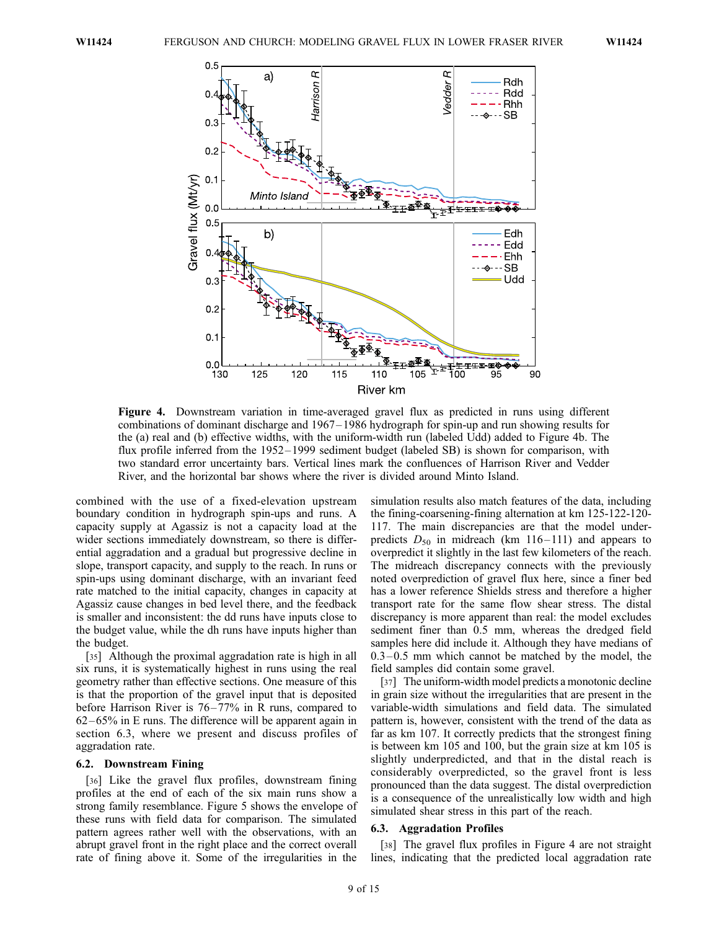

Figure 4. Downstream variation in time-averaged gravel flux as predicted in runs using different combinations of dominant discharge and 1967 – 1986 hydrograph for spin-up and run showing results for the (a) real and (b) effective widths, with the uniform-width run (labeled Udd) added to Figure 4b. The flux profile inferred from the 1952– 1999 sediment budget (labeled SB) is shown for comparison, with two standard error uncertainty bars. Vertical lines mark the confluences of Harrison River and Vedder River, and the horizontal bar shows where the river is divided around Minto Island.

combined with the use of a fixed-elevation upstream boundary condition in hydrograph spin-ups and runs. A capacity supply at Agassiz is not a capacity load at the wider sections immediately downstream, so there is differential aggradation and a gradual but progressive decline in slope, transport capacity, and supply to the reach. In runs or spin-ups using dominant discharge, with an invariant feed rate matched to the initial capacity, changes in capacity at Agassiz cause changes in bed level there, and the feedback is smaller and inconsistent: the dd runs have inputs close to the budget value, while the dh runs have inputs higher than the budget.

[35] Although the proximal aggradation rate is high in all six runs, it is systematically highest in runs using the real geometry rather than effective sections. One measure of this is that the proportion of the gravel input that is deposited before Harrison River is 76–77% in R runs, compared to  $62-65\%$  in E runs. The difference will be apparent again in section 6.3, where we present and discuss profiles of aggradation rate.

#### 6.2. Downstream Fining

[36] Like the gravel flux profiles, downstream fining profiles at the end of each of the six main runs show a strong family resemblance. Figure 5 shows the envelope of these runs with field data for comparison. The simulated pattern agrees rather well with the observations, with an abrupt gravel front in the right place and the correct overall rate of fining above it. Some of the irregularities in the

simulation results also match features of the data, including the fining-coarsening-fining alternation at km 125-122-120- 117. The main discrepancies are that the model underpredicts  $D_{50}$  in midreach (km 116–111) and appears to overpredict it slightly in the last few kilometers of the reach. The midreach discrepancy connects with the previously noted overprediction of gravel flux here, since a finer bed has a lower reference Shields stress and therefore a higher transport rate for the same flow shear stress. The distal discrepancy is more apparent than real: the model excludes sediment finer than 0.5 mm, whereas the dredged field samples here did include it. Although they have medians of  $0.3 - 0.5$  mm which cannot be matched by the model, the field samples did contain some gravel.

[37] The uniform-width model predicts a monotonic decline in grain size without the irregularities that are present in the variable-width simulations and field data. The simulated pattern is, however, consistent with the trend of the data as far as km 107. It correctly predicts that the strongest fining is between km 105 and 100, but the grain size at km 105 is slightly underpredicted, and that in the distal reach is considerably overpredicted, so the gravel front is less pronounced than the data suggest. The distal overprediction is a consequence of the unrealistically low width and high simulated shear stress in this part of the reach.

#### 6.3. Aggradation Profiles

[38] The gravel flux profiles in Figure 4 are not straight lines, indicating that the predicted local aggradation rate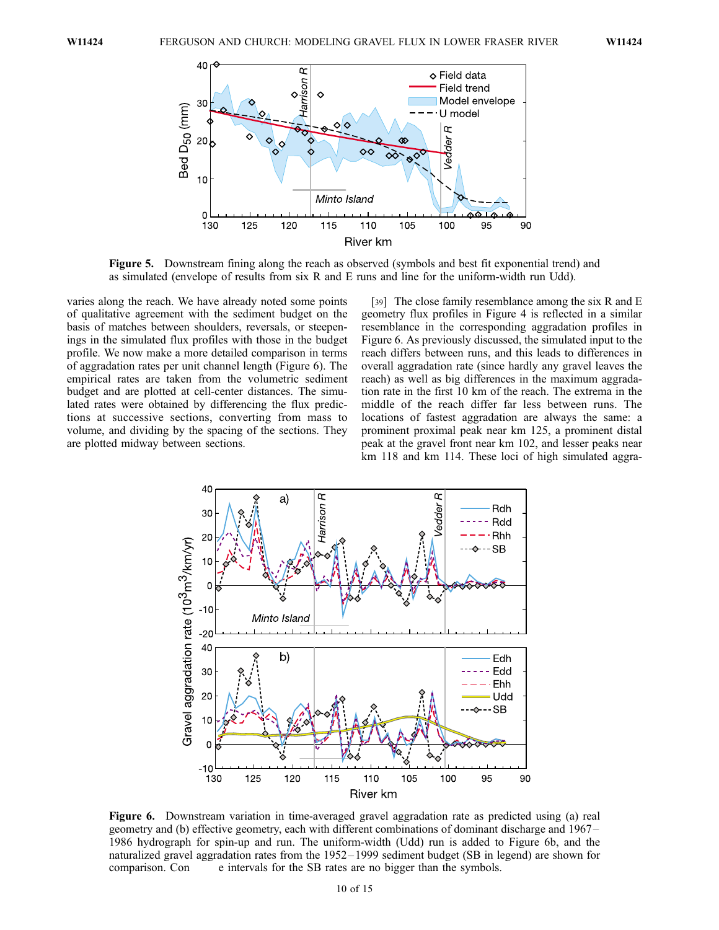

Figure 5. Downstream fining along the reach as observed (symbols and best fit exponential trend) and as simulated (envelope of results from six R and E runs and line for the uniform-width run Udd).

varies along the reach. We have already noted some points of qualitative agreement with the sediment budget on the basis of matches between shoulders, reversals, or steepenings in the simulated flux profiles with those in the budget profile. We now make a more detailed comparison in terms of aggradation rates per unit channel length (Figure 6). The empirical rates are taken from the volumetric sediment budget and are plotted at cell-center distances. The simulated rates were obtained by differencing the flux predictions at successive sections, converting from mass to volume, and dividing by the spacing of the sections. They are plotted midway between sections.

[39] The close family resemblance among the six R and E geometry flux profiles in Figure 4 is reflected in a similar resemblance in the corresponding aggradation profiles in Figure 6. As previously discussed, the simulated input to the reach differs between runs, and this leads to differences in overall aggradation rate (since hardly any gravel leaves the reach) as well as big differences in the maximum aggradation rate in the first 10 km of the reach. The extrema in the middle of the reach differ far less between runs. The locations of fastest aggradation are always the same: a prominent proximal peak near km 125, a prominent distal peak at the gravel front near km 102, and lesser peaks near km 118 and km 114. These loci of high simulated aggra-



Figure 6. Downstream variation in time-averaged gravel aggradation rate as predicted using (a) real geometry and (b) effective geometry, each with different combinations of dominant discharge and 1967– 1986 hydrograph for spin-up and run. The uniform-width (Udd) run is added to Figure 6b, and the naturalized gravel aggradation rates from the 1952– 1999 sediment budget (SB in legend) are shown for comparison. Con e intervals for the SB rates are no bigger than the symbols.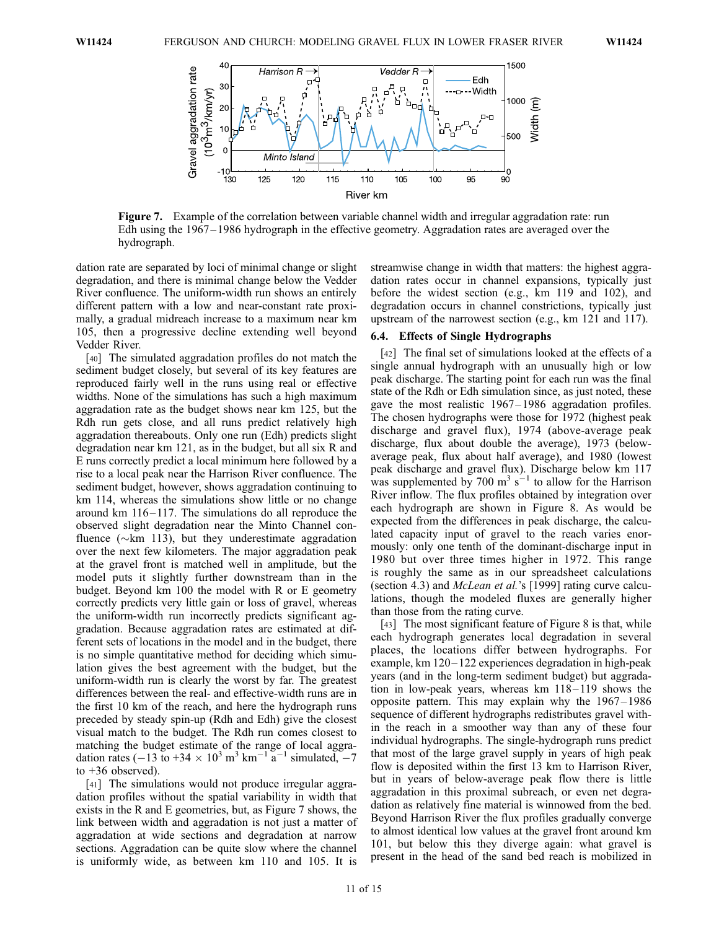

Figure 7. Example of the correlation between variable channel width and irregular aggradation rate: run Edh using the 1967– 1986 hydrograph in the effective geometry. Aggradation rates are averaged over the hydrograph.

dation rate are separated by loci of minimal change or slight degradation, and there is minimal change below the Vedder River confluence. The uniform-width run shows an entirely different pattern with a low and near-constant rate proximally, a gradual midreach increase to a maximum near km 105, then a progressive decline extending well beyond Vedder River.

[40] The simulated aggradation profiles do not match the sediment budget closely, but several of its key features are reproduced fairly well in the runs using real or effective widths. None of the simulations has such a high maximum aggradation rate as the budget shows near km 125, but the Rdh run gets close, and all runs predict relatively high aggradation thereabouts. Only one run (Edh) predicts slight degradation near km 121, as in the budget, but all six R and E runs correctly predict a local minimum here followed by a rise to a local peak near the Harrison River confluence. The sediment budget, however, shows aggradation continuing to km 114, whereas the simulations show little or no change around km  $116-117$ . The simulations do all reproduce the observed slight degradation near the Minto Channel confluence ( $\sim$ km 113), but they underestimate aggradation over the next few kilometers. The major aggradation peak at the gravel front is matched well in amplitude, but the model puts it slightly further downstream than in the budget. Beyond km 100 the model with R or E geometry correctly predicts very little gain or loss of gravel, whereas the uniform-width run incorrectly predicts significant aggradation. Because aggradation rates are estimated at different sets of locations in the model and in the budget, there is no simple quantitative method for deciding which simulation gives the best agreement with the budget, but the uniform-width run is clearly the worst by far. The greatest differences between the real- and effective-width runs are in the first 10 km of the reach, and here the hydrograph runs preceded by steady spin-up (Rdh and Edh) give the closest visual match to the budget. The Rdh run comes closest to matching the budget estimate of the range of local aggradation rates (-13 to +34  $\times$  10<sup>3</sup> m<sup>3</sup> km<sup>-1</sup> a<sup>-1</sup> simulated, -7 to  $+36$  observed).

[41] The simulations would not produce irregular aggradation profiles without the spatial variability in width that exists in the R and E geometries, but, as Figure 7 shows, the link between width and aggradation is not just a matter of aggradation at wide sections and degradation at narrow sections. Aggradation can be quite slow where the channel is uniformly wide, as between km 110 and 105. It is

streamwise change in width that matters: the highest aggradation rates occur in channel expansions, typically just before the widest section (e.g., km 119 and 102), and degradation occurs in channel constrictions, typically just upstream of the narrowest section (e.g., km 121 and 117).

#### 6.4. Effects of Single Hydrographs

[42] The final set of simulations looked at the effects of a single annual hydrograph with an unusually high or low peak discharge. The starting point for each run was the final state of the Rdh or Edh simulation since, as just noted, these gave the most realistic 1967 – 1986 aggradation profiles. The chosen hydrographs were those for 1972 (highest peak discharge and gravel flux), 1974 (above-average peak discharge, flux about double the average), 1973 (belowaverage peak, flux about half average), and 1980 (lowest peak discharge and gravel flux). Discharge below km 117 was supplemented by 700  $\text{m}^3$  s<sup> $-1$ </sup> to allow for the Harrison River inflow. The flux profiles obtained by integration over each hydrograph are shown in Figure 8. As would be expected from the differences in peak discharge, the calculated capacity input of gravel to the reach varies enormously: only one tenth of the dominant-discharge input in 1980 but over three times higher in 1972. This range is roughly the same as in our spreadsheet calculations (section 4.3) and McLean et al.'s [1999] rating curve calculations, though the modeled fluxes are generally higher than those from the rating curve.

[43] The most significant feature of Figure 8 is that, while each hydrograph generates local degradation in several places, the locations differ between hydrographs. For example, km 120– 122 experiences degradation in high-peak years (and in the long-term sediment budget) but aggradation in low-peak years, whereas km 118–119 shows the opposite pattern. This may explain why the  $1967 - 1986$ sequence of different hydrographs redistributes gravel within the reach in a smoother way than any of these four individual hydrographs. The single-hydrograph runs predict that most of the large gravel supply in years of high peak flow is deposited within the first 13 km to Harrison River, but in years of below-average peak flow there is little aggradation in this proximal subreach, or even net degradation as relatively fine material is winnowed from the bed. Beyond Harrison River the flux profiles gradually converge to almost identical low values at the gravel front around km 101, but below this they diverge again: what gravel is present in the head of the sand bed reach is mobilized in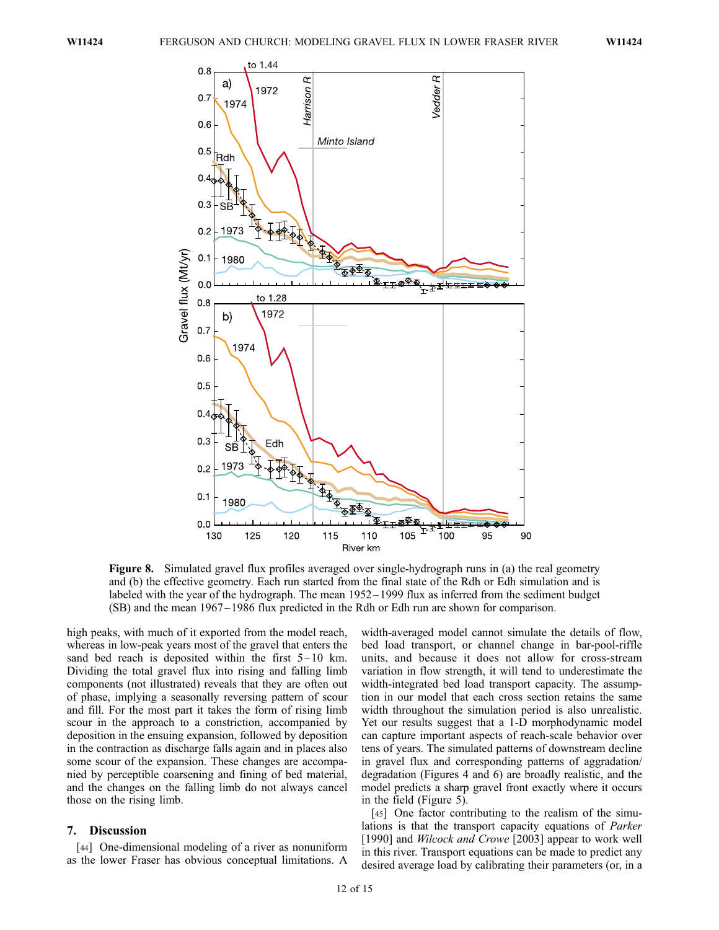

Figure 8. Simulated gravel flux profiles averaged over single-hydrograph runs in (a) the real geometry and (b) the effective geometry. Each run started from the final state of the Rdh or Edh simulation and is labeled with the year of the hydrograph. The mean 1952– 1999 flux as inferred from the sediment budget (SB) and the mean 1967– 1986 flux predicted in the Rdh or Edh run are shown for comparison.

high peaks, with much of it exported from the model reach, whereas in low-peak years most of the gravel that enters the sand bed reach is deposited within the first  $5-10$  km. Dividing the total gravel flux into rising and falling limb components (not illustrated) reveals that they are often out of phase, implying a seasonally reversing pattern of scour and fill. For the most part it takes the form of rising limb scour in the approach to a constriction, accompanied by deposition in the ensuing expansion, followed by deposition in the contraction as discharge falls again and in places also some scour of the expansion. These changes are accompanied by perceptible coarsening and fining of bed material, and the changes on the falling limb do not always cancel those on the rising limb.

#### 7. Discussion

[44] One-dimensional modeling of a river as nonuniform as the lower Fraser has obvious conceptual limitations. A

width-averaged model cannot simulate the details of flow, bed load transport, or channel change in bar-pool-riffle units, and because it does not allow for cross-stream variation in flow strength, it will tend to underestimate the width-integrated bed load transport capacity. The assumption in our model that each cross section retains the same width throughout the simulation period is also unrealistic. Yet our results suggest that a 1-D morphodynamic model can capture important aspects of reach-scale behavior over tens of years. The simulated patterns of downstream decline in gravel flux and corresponding patterns of aggradation/ degradation (Figures 4 and 6) are broadly realistic, and the model predicts a sharp gravel front exactly where it occurs in the field (Figure 5).

[45] One factor contributing to the realism of the simulations is that the transport capacity equations of Parker [1990] and *Wilcock and Crowe* [2003] appear to work well in this river. Transport equations can be made to predict any desired average load by calibrating their parameters (or, in a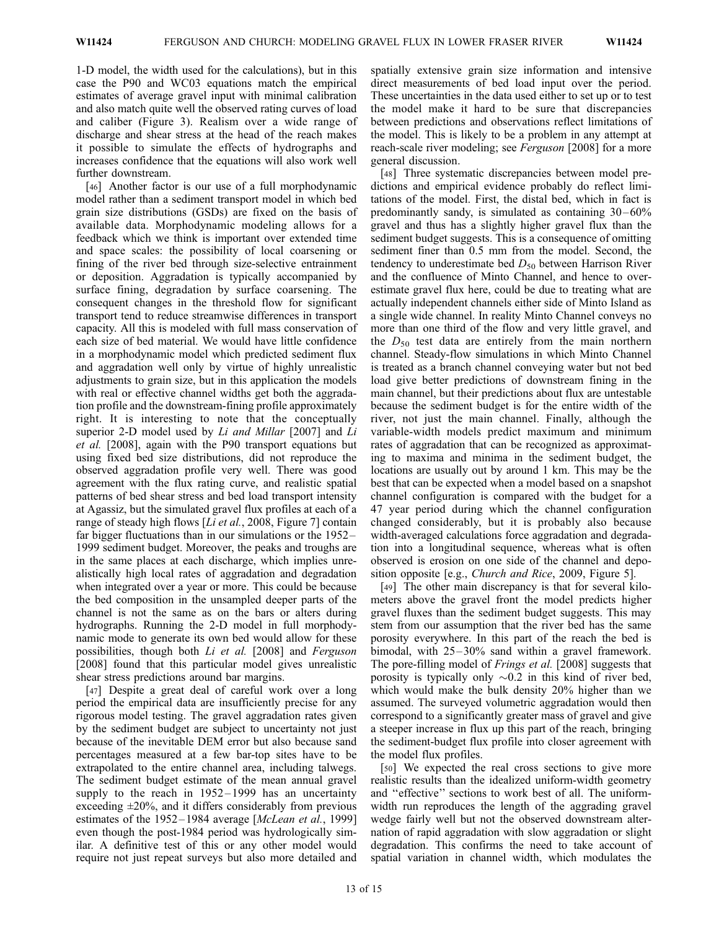1-D model, the width used for the calculations), but in this case the P90 and WC03 equations match the empirical estimates of average gravel input with minimal calibration and also match quite well the observed rating curves of load and caliber (Figure 3). Realism over a wide range of discharge and shear stress at the head of the reach makes it possible to simulate the effects of hydrographs and increases confidence that the equations will also work well further downstream.

[46] Another factor is our use of a full morphodynamic model rather than a sediment transport model in which bed grain size distributions (GSDs) are fixed on the basis of available data. Morphodynamic modeling allows for a feedback which we think is important over extended time and space scales: the possibility of local coarsening or fining of the river bed through size-selective entrainment or deposition. Aggradation is typically accompanied by surface fining, degradation by surface coarsening. The consequent changes in the threshold flow for significant transport tend to reduce streamwise differences in transport capacity. All this is modeled with full mass conservation of each size of bed material. We would have little confidence in a morphodynamic model which predicted sediment flux and aggradation well only by virtue of highly unrealistic adjustments to grain size, but in this application the models with real or effective channel widths get both the aggradation profile and the downstream-fining profile approximately right. It is interesting to note that the conceptually superior 2-D model used by Li and Millar [2007] and Li et al. [2008], again with the P90 transport equations but using fixed bed size distributions, did not reproduce the observed aggradation profile very well. There was good agreement with the flux rating curve, and realistic spatial patterns of bed shear stress and bed load transport intensity at Agassiz, but the simulated gravel flux profiles at each of a range of steady high flows [Li et al., 2008, Figure 7] contain far bigger fluctuations than in our simulations or the 1952 – 1999 sediment budget. Moreover, the peaks and troughs are in the same places at each discharge, which implies unrealistically high local rates of aggradation and degradation when integrated over a year or more. This could be because the bed composition in the unsampled deeper parts of the channel is not the same as on the bars or alters during hydrographs. Running the 2-D model in full morphodynamic mode to generate its own bed would allow for these possibilities, though both Li et al. [2008] and Ferguson [2008] found that this particular model gives unrealistic shear stress predictions around bar margins.

[47] Despite a great deal of careful work over a long period the empirical data are insufficiently precise for any rigorous model testing. The gravel aggradation rates given by the sediment budget are subject to uncertainty not just because of the inevitable DEM error but also because sand percentages measured at a few bar-top sites have to be extrapolated to the entire channel area, including talwegs. The sediment budget estimate of the mean annual gravel supply to the reach in  $1952 - 1999$  has an uncertainty exceeding  $\pm 20\%$ , and it differs considerably from previous estimates of the 1952-1984 average [McLean et al., 1999] even though the post-1984 period was hydrologically similar. A definitive test of this or any other model would require not just repeat surveys but also more detailed and spatially extensive grain size information and intensive direct measurements of bed load input over the period. These uncertainties in the data used either to set up or to test the model make it hard to be sure that discrepancies between predictions and observations reflect limitations of the model. This is likely to be a problem in any attempt at reach-scale river modeling; see Ferguson [2008] for a more general discussion.

[48] Three systematic discrepancies between model predictions and empirical evidence probably do reflect limitations of the model. First, the distal bed, which in fact is predominantly sandy, is simulated as containing  $30-60\%$ gravel and thus has a slightly higher gravel flux than the sediment budget suggests. This is a consequence of omitting sediment finer than 0.5 mm from the model. Second, the tendency to underestimate bed  $D_{50}$  between Harrison River and the confluence of Minto Channel, and hence to overestimate gravel flux here, could be due to treating what are actually independent channels either side of Minto Island as a single wide channel. In reality Minto Channel conveys no more than one third of the flow and very little gravel, and the  $D_{50}$  test data are entirely from the main northern channel. Steady-flow simulations in which Minto Channel is treated as a branch channel conveying water but not bed load give better predictions of downstream fining in the main channel, but their predictions about flux are untestable because the sediment budget is for the entire width of the river, not just the main channel. Finally, although the variable-width models predict maximum and minimum rates of aggradation that can be recognized as approximating to maxima and minima in the sediment budget, the locations are usually out by around 1 km. This may be the best that can be expected when a model based on a snapshot channel configuration is compared with the budget for a 47 year period during which the channel configuration changed considerably, but it is probably also because width-averaged calculations force aggradation and degradation into a longitudinal sequence, whereas what is often observed is erosion on one side of the channel and deposition opposite [e.g., *Church and Rice*, 2009, Figure 5].

[49] The other main discrepancy is that for several kilometers above the gravel front the model predicts higher gravel fluxes than the sediment budget suggests. This may stem from our assumption that the river bed has the same porosity everywhere. In this part of the reach the bed is bimodal, with  $25-30\%$  sand within a gravel framework. The pore-filling model of *Frings et al.* [2008] suggests that porosity is typically only  $\sim 0.2$  in this kind of river bed, which would make the bulk density 20% higher than we assumed. The surveyed volumetric aggradation would then correspond to a significantly greater mass of gravel and give a steeper increase in flux up this part of the reach, bringing the sediment-budget flux profile into closer agreement with the model flux profiles.

[50] We expected the real cross sections to give more realistic results than the idealized uniform-width geometry and ''effective'' sections to work best of all. The uniformwidth run reproduces the length of the aggrading gravel wedge fairly well but not the observed downstream alternation of rapid aggradation with slow aggradation or slight degradation. This confirms the need to take account of spatial variation in channel width, which modulates the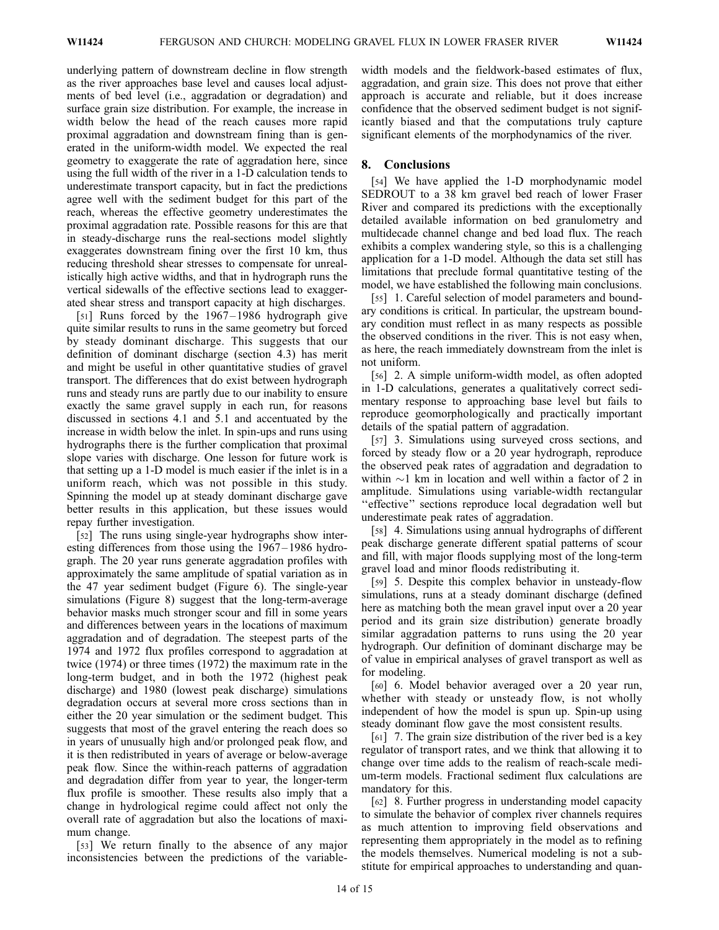underlying pattern of downstream decline in flow strength as the river approaches base level and causes local adjustments of bed level (i.e., aggradation or degradation) and surface grain size distribution. For example, the increase in width below the head of the reach causes more rapid proximal aggradation and downstream fining than is generated in the uniform-width model. We expected the real geometry to exaggerate the rate of aggradation here, since using the full width of the river in a 1-D calculation tends to underestimate transport capacity, but in fact the predictions agree well with the sediment budget for this part of the reach, whereas the effective geometry underestimates the proximal aggradation rate. Possible reasons for this are that in steady-discharge runs the real-sections model slightly exaggerates downstream fining over the first 10 km, thus reducing threshold shear stresses to compensate for unrealistically high active widths, and that in hydrograph runs the vertical sidewalls of the effective sections lead to exaggerated shear stress and transport capacity at high discharges.

[51] Runs forced by the  $1967 - 1986$  hydrograph give quite similar results to runs in the same geometry but forced by steady dominant discharge. This suggests that our definition of dominant discharge (section 4.3) has merit and might be useful in other quantitative studies of gravel transport. The differences that do exist between hydrograph runs and steady runs are partly due to our inability to ensure exactly the same gravel supply in each run, for reasons discussed in sections 4.1 and 5.1 and accentuated by the increase in width below the inlet. In spin-ups and runs using hydrographs there is the further complication that proximal slope varies with discharge. One lesson for future work is that setting up a 1-D model is much easier if the inlet is in a uniform reach, which was not possible in this study. Spinning the model up at steady dominant discharge gave better results in this application, but these issues would repay further investigation.

[52] The runs using single-year hydrographs show interesting differences from those using the 1967–1986 hydrograph. The 20 year runs generate aggradation profiles with approximately the same amplitude of spatial variation as in the 47 year sediment budget (Figure 6). The single-year simulations (Figure 8) suggest that the long-term-average behavior masks much stronger scour and fill in some years and differences between years in the locations of maximum aggradation and of degradation. The steepest parts of the 1974 and 1972 flux profiles correspond to aggradation at twice (1974) or three times (1972) the maximum rate in the long-term budget, and in both the 1972 (highest peak discharge) and 1980 (lowest peak discharge) simulations degradation occurs at several more cross sections than in either the 20 year simulation or the sediment budget. This suggests that most of the gravel entering the reach does so in years of unusually high and/or prolonged peak flow, and it is then redistributed in years of average or below-average peak flow. Since the within-reach patterns of aggradation and degradation differ from year to year, the longer-term flux profile is smoother. These results also imply that a change in hydrological regime could affect not only the overall rate of aggradation but also the locations of maximum change.

[53] We return finally to the absence of any major inconsistencies between the predictions of the variablewidth models and the fieldwork-based estimates of flux, aggradation, and grain size. This does not prove that either approach is accurate and reliable, but it does increase confidence that the observed sediment budget is not significantly biased and that the computations truly capture significant elements of the morphodynamics of the river.

#### 8. Conclusions

[54] We have applied the 1-D morphodynamic model SEDROUT to a 38 km gravel bed reach of lower Fraser River and compared its predictions with the exceptionally detailed available information on bed granulometry and multidecade channel change and bed load flux. The reach exhibits a complex wandering style, so this is a challenging application for a 1-D model. Although the data set still has limitations that preclude formal quantitative testing of the model, we have established the following main conclusions.

[55] 1. Careful selection of model parameters and boundary conditions is critical. In particular, the upstream boundary condition must reflect in as many respects as possible the observed conditions in the river. This is not easy when, as here, the reach immediately downstream from the inlet is not uniform.

[56] 2. A simple uniform-width model, as often adopted in 1-D calculations, generates a qualitatively correct sedimentary response to approaching base level but fails to reproduce geomorphologically and practically important details of the spatial pattern of aggradation.

[57] 3. Simulations using surveyed cross sections, and forced by steady flow or a 20 year hydrograph, reproduce the observed peak rates of aggradation and degradation to within  $\sim$ 1 km in location and well within a factor of 2 in amplitude. Simulations using variable-width rectangular ''effective'' sections reproduce local degradation well but underestimate peak rates of aggradation.

[58] 4. Simulations using annual hydrographs of different peak discharge generate different spatial patterns of scour and fill, with major floods supplying most of the long-term gravel load and minor floods redistributing it.

[59] 5. Despite this complex behavior in unsteady-flow simulations, runs at a steady dominant discharge (defined here as matching both the mean gravel input over a 20 year period and its grain size distribution) generate broadly similar aggradation patterns to runs using the 20 year hydrograph. Our definition of dominant discharge may be of value in empirical analyses of gravel transport as well as for modeling.

[60] 6. Model behavior averaged over a 20 year run, whether with steady or unsteady flow, is not wholly independent of how the model is spun up. Spin-up using steady dominant flow gave the most consistent results.

[61] 7. The grain size distribution of the river bed is a key regulator of transport rates, and we think that allowing it to change over time adds to the realism of reach-scale medium-term models. Fractional sediment flux calculations are mandatory for this.

[62] 8. Further progress in understanding model capacity to simulate the behavior of complex river channels requires as much attention to improving field observations and representing them appropriately in the model as to refining the models themselves. Numerical modeling is not a substitute for empirical approaches to understanding and quan